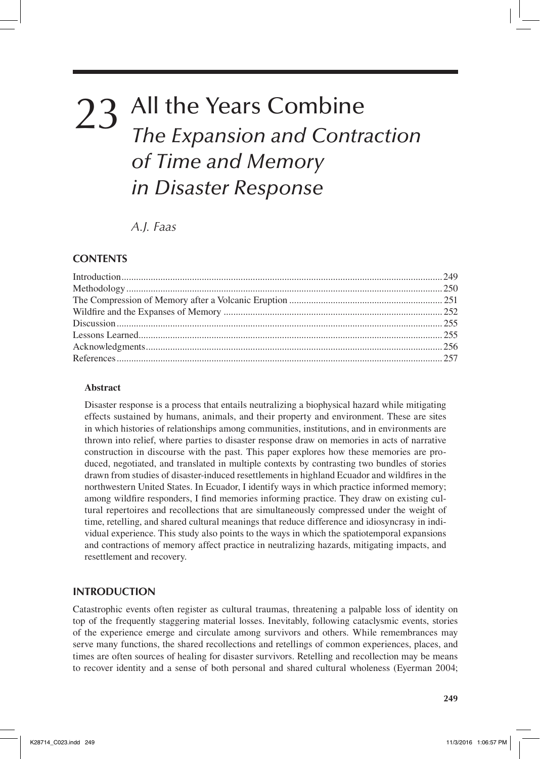# 23 All the Years Combine *The Expansion and Contraction of Time and Memory in Disaster Response*

*A.J. Faas*

# **CONTENTS**

## **Abstract**

Disaster response is a process that entails neutralizing a biophysical hazard while mitigating effects sustained by humans, animals, and their property and environment. These are sites in which histories of relationships among communities, institutions, and in environments are thrown into relief, where parties to disaster response draw on memories in acts of narrative construction in discourse with the past. This paper explores how these memories are produced, negotiated, and translated in multiple contexts by contrasting two bundles of stories drawn from studies of disaster-induced resettlements in highland Ecuador and wildfires in the northwestern United States. In Ecuador, I identify ways in which practice informed memory; among wildfire responders, I find memories informing practice. They draw on existing cultural repertoires and recollections that are simultaneously compressed under the weight of time, retelling, and shared cultural meanings that reduce difference and idiosyncrasy in individual experience. This study also points to the ways in which the spatiotemporal expansions and contractions of memory affect practice in neutralizing hazards, mitigating impacts, and resettlement and recovery.

# **INTRODUCTION**

Catastrophic events often register as cultural traumas, threatening a palpable loss of identity on top of the frequently staggering material losses. Inevitably, following cataclysmic events, stories of the experience emerge and circulate among survivors and others. While remembrances may serve many functions, the shared recollections and retellings of common experiences, places, and times are often sources of healing for disaster survivors. Retelling and recollection may be means to recover identity and a sense of both personal and shared cultural wholeness (Eyerman 2004;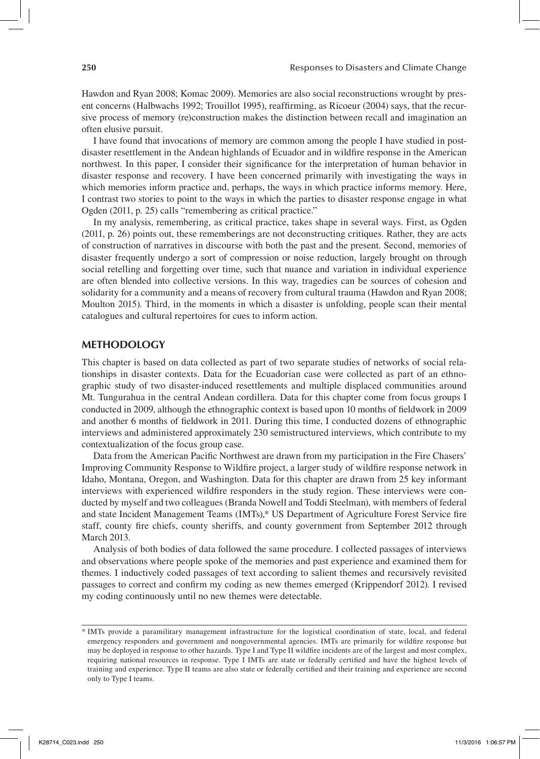Hawdon and Ryan 2008; Komac 2009). Memories are also social reconstructions wrought by present concerns (Halbwachs 1992; Trouillot 1995), reaffirming, as Ricoeur (2004) says, that the recursive process of memory (re)construction makes the distinction between recall and imagination an often elusive pursuit.

I have found that invocations of memory are common among the people I have studied in postdisaster resettlement in the Andean highlands of Ecuador and in wildfire response in the American northwest. In this paper, I consider their significance for the interpretation of human behavior in disaster response and recovery. I have been concerned primarily with investigating the ways in which memories inform practice and, perhaps, the ways in which practice informs memory. Here, I contrast two stories to point to the ways in which the parties to disaster response engage in what Ogden (2011, p. 25) calls "remembering as critical practice."

In my analysis, remembering, as critical practice, takes shape in several ways. First, as Ogden (2011, p. 26) points out, these rememberings are not deconstructing critiques. Rather, they are acts of construction of narratives in discourse with both the past and the present. Second, memories of disaster frequently undergo a sort of compression or noise reduction, largely brought on through social retelling and forgetting over time, such that nuance and variation in individual experience are often blended into collective versions. In this way, tragedies can be sources of cohesion and solidarity for a community and a means of recovery from cultural trauma (Hawdon and Ryan 2008; Moulton 2015). Third, in the moments in which a disaster is unfolding, people scan their mental catalogues and cultural repertoires for cues to inform action.

# **METHODOLOGY**

This chapter is based on data collected as part of two separate studies of networks of social relationships in disaster contexts. Data for the Ecuadorian case were collected as part of an ethnographic study of two disaster-induced resettlements and multiple displaced communities around Mt. Tungurahua in the central Andean cordillera. Data for this chapter come from focus groups I conducted in 2009, although the ethnographic context is based upon 10 months of fieldwork in 2009 and another 6 months of fieldwork in 2011. During this time, I conducted dozens of ethnographic interviews and administered approximately 230 semistructured interviews, which contribute to my contextualization of the focus group case.

Data from the American Pacific Northwest are drawn from my participation in the Fire Chasers' Improving Community Response to Wildfire project, a larger study of wildfire response network in Idaho, Montana, Oregon, and Washington. Data for this chapter are drawn from 25 key informant interviews with experienced wildfire responders in the study region. These interviews were conducted by myself and two colleagues (Branda Nowell and Toddi Steelman), with members of federal and state Incident Management Teams (IMTs),\* US Department of Agriculture Forest Service fire staff, county fire chiefs, county sheriffs, and county government from September 2012 through March 2013.

Analysis of both bodies of data followed the same procedure. I collected passages of interviews and observations where people spoke of the memories and past experience and examined them for themes. I inductively coded passages of text according to salient themes and recursively revisited passages to correct and confirm my coding as new themes emerged (Krippendorf 2012). I revised my coding continuously until no new themes were detectable.

<sup>\*</sup> IMTs provide a paramilitary management infrastructure for the logistical coordination of state, local, and federal emergency responders and government and nongovernmental agencies. IMTs are primarily for wildfire response but may be deployed in response to other hazards. Type I and Type II wildfire incidents are of the largest and most complex, requiring national resources in response. Type I IMTs are state or federally certified and have the highest levels of training and experience. Type II teams are also state or federally certified and their training and experience are second only to Type I teams.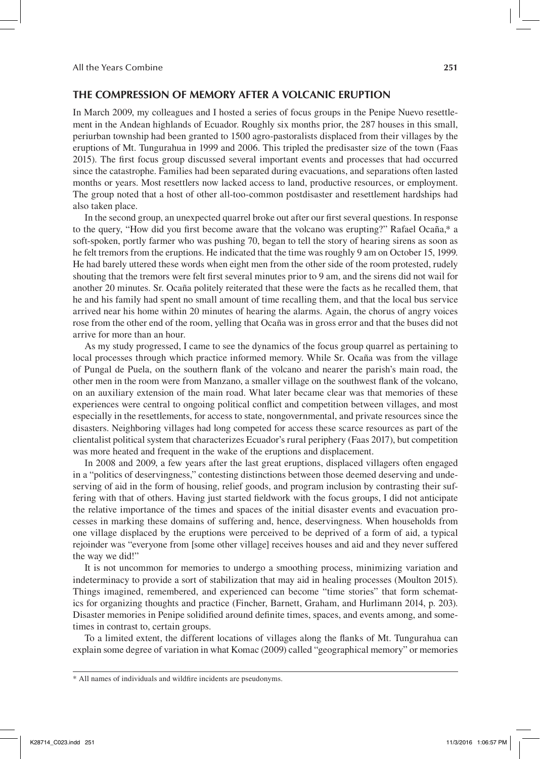# **THE COMPRESSION OF MEMORY AFTER A VOLCANIC ERUPTION**

In March 2009, my colleagues and I hosted a series of focus groups in the Penipe Nuevo resettlement in the Andean highlands of Ecuador. Roughly six months prior, the 287 houses in this small, periurban township had been granted to 1500 agro-pastoralists displaced from their villages by the eruptions of Mt. Tungurahua in 1999 and 2006. This tripled the predisaster size of the town (Faas 2015). The first focus group discussed several important events and processes that had occurred since the catastrophe. Families had been separated during evacuations, and separations often lasted months or years. Most resettlers now lacked access to land, productive resources, or employment. The group noted that a host of other all-too-common postdisaster and resettlement hardships had also taken place.

In the second group, an unexpected quarrel broke out after our first several questions. In response to the query, "How did you first become aware that the volcano was erupting?" Rafael Ocaña,\* a soft-spoken, portly farmer who was pushing 70, began to tell the story of hearing sirens as soon as he felt tremors from the eruptions. He indicated that the time was roughly 9 am on October 15, 1999. He had barely uttered these words when eight men from the other side of the room protested, rudely shouting that the tremors were felt first several minutes prior to 9 am, and the sirens did not wail for another 20 minutes. Sr. Ocaña politely reiterated that these were the facts as he recalled them, that he and his family had spent no small amount of time recalling them, and that the local bus service arrived near his home within 20 minutes of hearing the alarms. Again, the chorus of angry voices rose from the other end of the room, yelling that Ocaña was in gross error and that the buses did not arrive for more than an hour.

As my study progressed, I came to see the dynamics of the focus group quarrel as pertaining to local processes through which practice informed memory. While Sr. Ocaña was from the village of Pungal de Puela, on the southern flank of the volcano and nearer the parish's main road, the other men in the room were from Manzano, a smaller village on the southwest flank of the volcano, on an auxiliary extension of the main road. What later became clear was that memories of these experiences were central to ongoing political conflict and competition between villages, and most especially in the resettlements, for access to state, nongovernmental, and private resources since the disasters. Neighboring villages had long competed for access these scarce resources as part of the clientalist political system that characterizes Ecuador's rural periphery (Faas 2017), but competition was more heated and frequent in the wake of the eruptions and displacement.

In 2008 and 2009, a few years after the last great eruptions, displaced villagers often engaged in a "politics of deservingness," contesting distinctions between those deemed deserving and undeserving of aid in the form of housing, relief goods, and program inclusion by contrasting their suffering with that of others. Having just started fieldwork with the focus groups, I did not anticipate the relative importance of the times and spaces of the initial disaster events and evacuation processes in marking these domains of suffering and, hence, deservingness. When households from one village displaced by the eruptions were perceived to be deprived of a form of aid, a typical rejoinder was "everyone from [some other village] receives houses and aid and they never suffered the way we did!"

It is not uncommon for memories to undergo a smoothing process, minimizing variation and indeterminacy to provide a sort of stabilization that may aid in healing processes (Moulton 2015). Things imagined, remembered, and experienced can become "time stories" that form schematics for organizing thoughts and practice (Fincher, Barnett, Graham, and Hurlimann 2014, p. 203). Disaster memories in Penipe solidified around definite times, spaces, and events among, and sometimes in contrast to, certain groups.

To a limited extent, the different locations of villages along the flanks of Mt. Tungurahua can explain some degree of variation in what Komac (2009) called "geographical memory" or memories

<sup>\*</sup> All names of individuals and wildfire incidents are pseudonyms.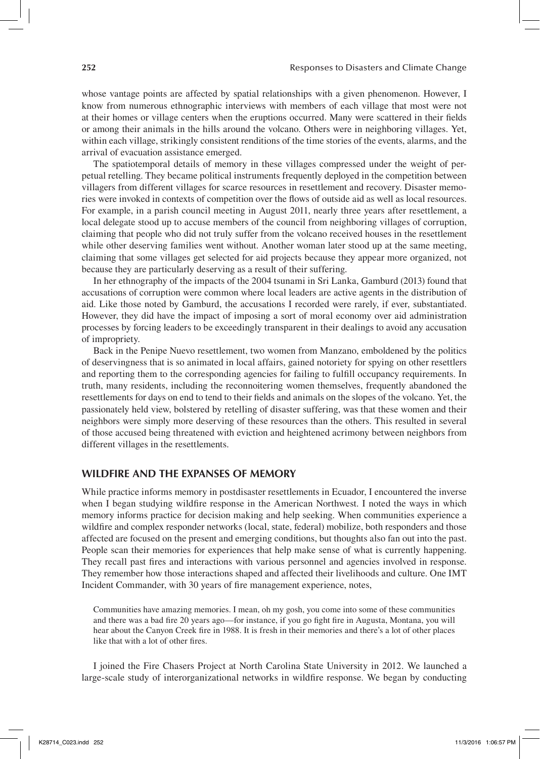whose vantage points are affected by spatial relationships with a given phenomenon. However, I know from numerous ethnographic interviews with members of each village that most were not at their homes or village centers when the eruptions occurred. Many were scattered in their fields or among their animals in the hills around the volcano. Others were in neighboring villages. Yet, within each village, strikingly consistent renditions of the time stories of the events, alarms, and the arrival of evacuation assistance emerged.

The spatiotemporal details of memory in these villages compressed under the weight of perpetual retelling. They became political instruments frequently deployed in the competition between villagers from different villages for scarce resources in resettlement and recovery. Disaster memories were invoked in contexts of competition over the flows of outside aid as well as local resources. For example, in a parish council meeting in August 2011, nearly three years after resettlement, a local delegate stood up to accuse members of the council from neighboring villages of corruption, claiming that people who did not truly suffer from the volcano received houses in the resettlement while other deserving families went without. Another woman later stood up at the same meeting, claiming that some villages get selected for aid projects because they appear more organized, not because they are particularly deserving as a result of their suffering.

In her ethnography of the impacts of the 2004 tsunami in Sri Lanka, Gamburd (2013) found that accusations of corruption were common where local leaders are active agents in the distribution of aid. Like those noted by Gamburd, the accusations I recorded were rarely, if ever, substantiated. However, they did have the impact of imposing a sort of moral economy over aid administration processes by forcing leaders to be exceedingly transparent in their dealings to avoid any accusation of impropriety.

Back in the Penipe Nuevo resettlement, two women from Manzano, emboldened by the politics of deservingness that is so animated in local affairs, gained notoriety for spying on other resettlers and reporting them to the corresponding agencies for failing to fulfill occupancy requirements. In truth, many residents, including the reconnoitering women themselves, frequently abandoned the resettlements for days on end to tend to their fields and animals on the slopes of the volcano. Yet, the passionately held view, bolstered by retelling of disaster suffering, was that these women and their neighbors were simply more deserving of these resources than the others. This resulted in several of those accused being threatened with eviction and heightened acrimony between neighbors from different villages in the resettlements.

# **WILDFIRE AND THE EXPANSES OF MEMORY**

While practice informs memory in postdisaster resettlements in Ecuador, I encountered the inverse when I began studying wildfire response in the American Northwest. I noted the ways in which memory informs practice for decision making and help seeking. When communities experience a wildfire and complex responder networks (local, state, federal) mobilize, both responders and those affected are focused on the present and emerging conditions, but thoughts also fan out into the past. People scan their memories for experiences that help make sense of what is currently happening. They recall past fires and interactions with various personnel and agencies involved in response. They remember how those interactions shaped and affected their livelihoods and culture. One IMT Incident Commander, with 30 years of fire management experience, notes,

Communities have amazing memories. I mean, oh my gosh, you come into some of these communities and there was a bad fire 20 years ago—for instance, if you go fight fire in Augusta, Montana, you will hear about the Canyon Creek fire in 1988. It is fresh in their memories and there's a lot of other places like that with a lot of other fires.

I joined the Fire Chasers Project at North Carolina State University in 2012. We launched a large-scale study of interorganizational networks in wildfire response. We began by conducting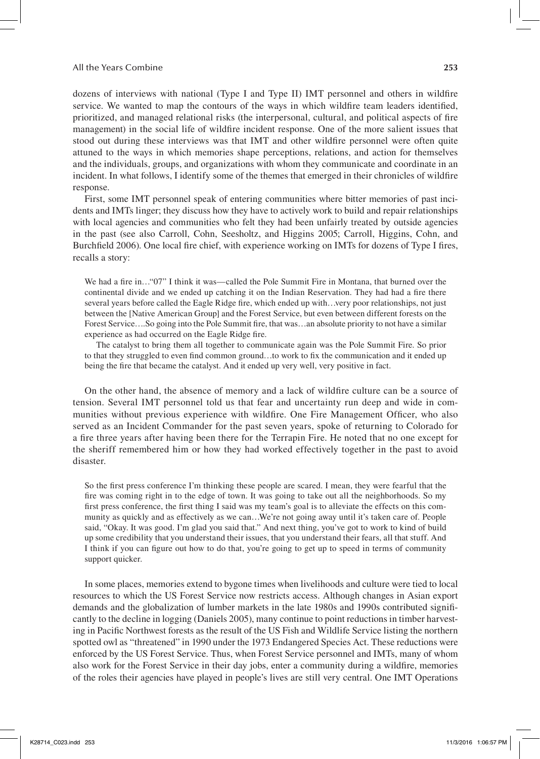### All the Years Combine **253**

dozens of interviews with national (Type I and Type II) IMT personnel and others in wildfire service. We wanted to map the contours of the ways in which wildfire team leaders identified, prioritized, and managed relational risks (the interpersonal, cultural, and political aspects of fire management) in the social life of wildfire incident response. One of the more salient issues that stood out during these interviews was that IMT and other wildfire personnel were often quite attuned to the ways in which memories shape perceptions, relations, and action for themselves and the individuals, groups, and organizations with whom they communicate and coordinate in an incident. In what follows, I identify some of the themes that emerged in their chronicles of wildfire response.

First, some IMT personnel speak of entering communities where bitter memories of past incidents and IMTs linger; they discuss how they have to actively work to build and repair relationships with local agencies and communities who felt they had been unfairly treated by outside agencies in the past (see also Carroll, Cohn, Seesholtz, and Higgins 2005; Carroll, Higgins, Cohn, and Burchfield 2006). One local fire chief, with experience working on IMTs for dozens of Type I fires, recalls a story:

We had a fire in..."07" I think it was—called the Pole Summit Fire in Montana, that burned over the continental divide and we ended up catching it on the Indian Reservation. They had had a fire there several years before called the Eagle Ridge fire, which ended up with…very poor relationships, not just between the [Native American Group] and the Forest Service, but even between different forests on the Forest Service….So going into the Pole Summit fire, that was…an absolute priority to not have a similar experience as had occurred on the Eagle Ridge fire.

The catalyst to bring them all together to communicate again was the Pole Summit Fire. So prior to that they struggled to even find common ground…to work to fix the communication and it ended up being the fire that became the catalyst. And it ended up very well, very positive in fact.

On the other hand, the absence of memory and a lack of wildfire culture can be a source of tension. Several IMT personnel told us that fear and uncertainty run deep and wide in communities without previous experience with wildfire. One Fire Management Officer, who also served as an Incident Commander for the past seven years, spoke of returning to Colorado for a fire three years after having been there for the Terrapin Fire. He noted that no one except for the sheriff remembered him or how they had worked effectively together in the past to avoid disaster.

So the first press conference I'm thinking these people are scared. I mean, they were fearful that the fire was coming right in to the edge of town. It was going to take out all the neighborhoods. So my first press conference, the first thing I said was my team's goal is to alleviate the effects on this community as quickly and as effectively as we can...We're not going away until it's taken care of. People said, "Okay. It was good. I'm glad you said that." And next thing, you've got to work to kind of build up some credibility that you understand their issues, that you understand their fears, all that stuff. And I think if you can figure out how to do that, you're going to get up to speed in terms of community support quicker.

In some places, memories extend to bygone times when livelihoods and culture were tied to local resources to which the US Forest Service now restricts access. Although changes in Asian export demands and the globalization of lumber markets in the late 1980s and 1990s contributed significantly to the decline in logging (Daniels 2005), many continue to point reductions in timber harvesting in Pacific Northwest forests as the result of the US Fish and Wildlife Service listing the northern spotted owl as "threatened" in 1990 under the 1973 Endangered Species Act. These reductions were enforced by the US Forest Service. Thus, when Forest Service personnel and IMTs, many of whom also work for the Forest Service in their day jobs, enter a community during a wildfire, memories of the roles their agencies have played in people's lives are still very central. One IMT Operations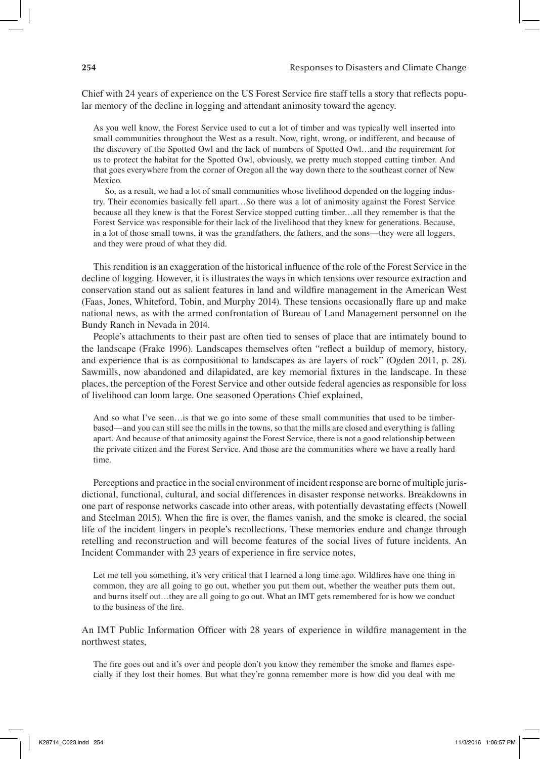Chief with 24 years of experience on the US Forest Service fire staff tells a story that reflects popular memory of the decline in logging and attendant animosity toward the agency.

As you well know, the Forest Service used to cut a lot of timber and was typically well inserted into small communities throughout the West as a result. Now, right, wrong, or indifferent, and because of the discovery of the Spotted Owl and the lack of numbers of Spotted Owl…and the requirement for us to protect the habitat for the Spotted Owl, obviously, we pretty much stopped cutting timber. And that goes everywhere from the corner of Oregon all the way down there to the southeast corner of New Mexico.

So, as a result, we had a lot of small communities whose livelihood depended on the logging industry. Their economies basically fell apart…So there was a lot of animosity against the Forest Service because all they knew is that the Forest Service stopped cutting timber…all they remember is that the Forest Service was responsible for their lack of the livelihood that they knew for generations. Because, in a lot of those small towns, it was the grandfathers, the fathers, and the sons—they were all loggers, and they were proud of what they did.

This rendition is an exaggeration of the historical influence of the role of the Forest Service in the decline of logging. However, it is illustrates the ways in which tensions over resource extraction and conservation stand out as salient features in land and wildfire management in the American West (Faas, Jones, Whiteford, Tobin, and Murphy 2014). These tensions occasionally flare up and make national news, as with the armed confrontation of Bureau of Land Management personnel on the Bundy Ranch in Nevada in 2014.

People's attachments to their past are often tied to senses of place that are intimately bound to the landscape (Frake 1996). Landscapes themselves often "reflect a buildup of memory, history, and experience that is as compositional to landscapes as are layers of rock" (Ogden 2011, p. 28). Sawmills, now abandoned and dilapidated, are key memorial fixtures in the landscape. In these places, the perception of the Forest Service and other outside federal agencies as responsible for loss of livelihood can loom large. One seasoned Operations Chief explained,

And so what I've seen…is that we go into some of these small communities that used to be timberbased—and you can still see the mills in the towns, so that the mills are closed and everything is falling apart. And because of that animosity against the Forest Service, there is not a good relationship between the private citizen and the Forest Service. And those are the communities where we have a really hard time.

Perceptions and practice in the social environment of incident response are borne of multiple jurisdictional, functional, cultural, and social differences in disaster response networks. Breakdowns in one part of response networks cascade into other areas, with potentially devastating effects (Nowell and Steelman 2015). When the fire is over, the flames vanish, and the smoke is cleared, the social life of the incident lingers in people's recollections. These memories endure and change through retelling and reconstruction and will become features of the social lives of future incidents. An Incident Commander with 23 years of experience in fire service notes,

Let me tell you something, it's very critical that I learned a long time ago. Wildfires have one thing in common, they are all going to go out, whether you put them out, whether the weather puts them out, and burns itself out…they are all going to go out. What an IMT gets remembered for is how we conduct to the business of the fire.

An IMT Public Information Officer with 28 years of experience in wildfire management in the northwest states,

The fire goes out and it's over and people don't you know they remember the smoke and flames especially if they lost their homes. But what they're gonna remember more is how did you deal with me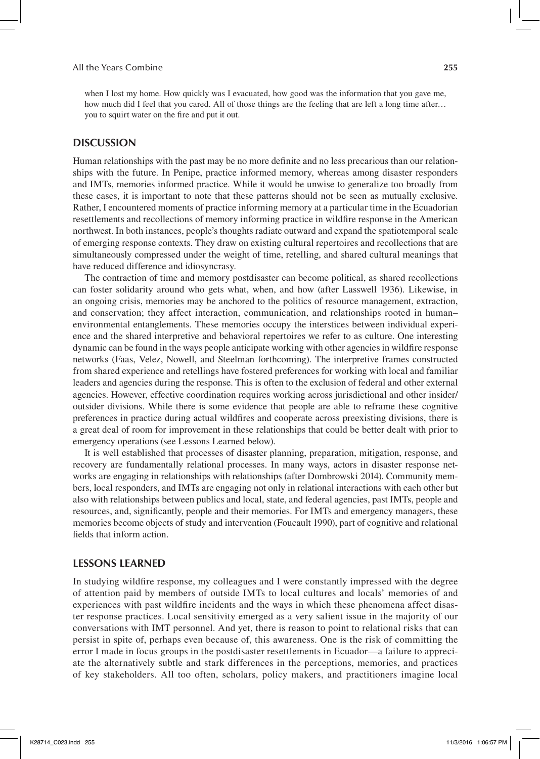### All the Years Combine **255**

when I lost my home. How quickly was I evacuated, how good was the information that you gave me, how much did I feel that you cared. All of those things are the feeling that are left a long time after… you to squirt water on the fire and put it out.

# **DISCUSSION**

Human relationships with the past may be no more definite and no less precarious than our relationships with the future. In Penipe, practice informed memory, whereas among disaster responders and IMTs, memories informed practice. While it would be unwise to generalize too broadly from these cases, it is important to note that these patterns should not be seen as mutually exclusive. Rather, I encountered moments of practice informing memory at a particular time in the Ecuadorian resettlements and recollections of memory informing practice in wildfire response in the American northwest. In both instances, people's thoughts radiate outward and expand the spatiotemporal scale of emerging response contexts. They draw on existing cultural repertoires and recollections that are simultaneously compressed under the weight of time, retelling, and shared cultural meanings that have reduced difference and idiosyncrasy.

The contraction of time and memory postdisaster can become political, as shared recollections can foster solidarity around who gets what, when, and how (after Lasswell 1936). Likewise, in an ongoing crisis, memories may be anchored to the politics of resource management, extraction, and conservation; they affect interaction, communication, and relationships rooted in human– environmental entanglements. These memories occupy the interstices between individual experience and the shared interpretive and behavioral repertoires we refer to as culture. One interesting dynamic can be found in the ways people anticipate working with other agencies in wildfire response networks (Faas, Velez, Nowell, and Steelman forthcoming). The interpretive frames constructed from shared experience and retellings have fostered preferences for working with local and familiar leaders and agencies during the response. This is often to the exclusion of federal and other external agencies. However, effective coordination requires working across jurisdictional and other insider/ outsider divisions. While there is some evidence that people are able to reframe these cognitive preferences in practice during actual wildfires and cooperate across preexisting divisions, there is a great deal of room for improvement in these relationships that could be better dealt with prior to emergency operations (see Lessons Learned below).

It is well established that processes of disaster planning, preparation, mitigation, response, and recovery are fundamentally relational processes. In many ways, actors in disaster response networks are engaging in relationships with relationships (after Dombrowski 2014). Community members, local responders, and IMTs are engaging not only in relational interactions with each other but also with relationships between publics and local, state, and federal agencies, past IMTs, people and resources, and, significantly, people and their memories. For IMTs and emergency managers, these memories become objects of study and intervention (Foucault 1990), part of cognitive and relational fields that inform action.

### **LESSONS LEARNED**

In studying wildfire response, my colleagues and I were constantly impressed with the degree of attention paid by members of outside IMTs to local cultures and locals' memories of and experiences with past wildfire incidents and the ways in which these phenomena affect disaster response practices. Local sensitivity emerged as a very salient issue in the majority of our conversations with IMT personnel. And yet, there is reason to point to relational risks that can persist in spite of, perhaps even because of, this awareness. One is the risk of committing the error I made in focus groups in the postdisaster resettlements in Ecuador—a failure to appreciate the alternatively subtle and stark differences in the perceptions, memories, and practices of key stakeholders. All too often, scholars, policy makers, and practitioners imagine local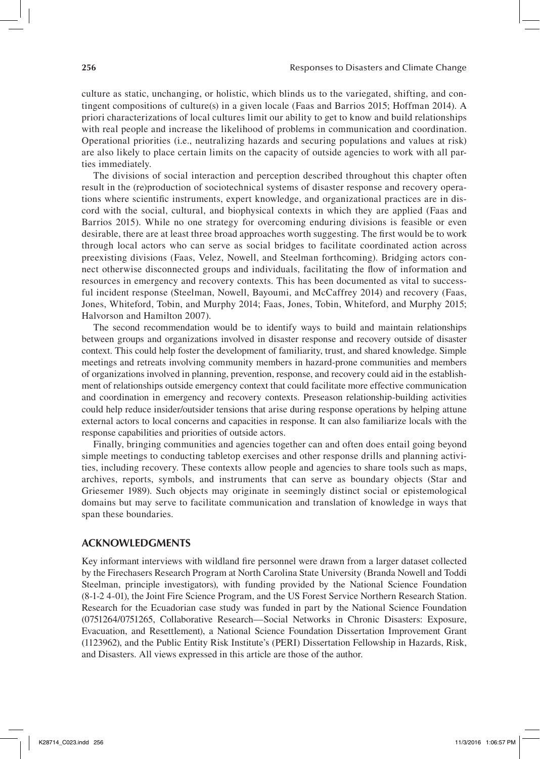culture as static, unchanging, or holistic, which blinds us to the variegated, shifting, and contingent compositions of culture(s) in a given locale (Faas and Barrios 2015; Hoffman 2014). A priori characterizations of local cultures limit our ability to get to know and build relationships with real people and increase the likelihood of problems in communication and coordination. Operational priorities (i.e., neutralizing hazards and securing populations and values at risk) are also likely to place certain limits on the capacity of outside agencies to work with all parties immediately.

The divisions of social interaction and perception described throughout this chapter often result in the (re)production of sociotechnical systems of disaster response and recovery operations where scientific instruments, expert knowledge, and organizational practices are in discord with the social, cultural, and biophysical contexts in which they are applied (Faas and Barrios 2015). While no one strategy for overcoming enduring divisions is feasible or even desirable, there are at least three broad approaches worth suggesting. The first would be to work through local actors who can serve as social bridges to facilitate coordinated action across preexisting divisions (Faas, Velez, Nowell, and Steelman forthcoming). Bridging actors connect otherwise disconnected groups and individuals, facilitating the flow of information and resources in emergency and recovery contexts. This has been documented as vital to successful incident response (Steelman, Nowell, Bayoumi, and McCaffrey 2014) and recovery (Faas, Jones, Whiteford, Tobin, and Murphy 2014; Faas, Jones, Tobin, Whiteford, and Murphy 2015; Halvorson and Hamilton 2007).

The second recommendation would be to identify ways to build and maintain relationships between groups and organizations involved in disaster response and recovery outside of disaster context. This could help foster the development of familiarity, trust, and shared knowledge. Simple meetings and retreats involving community members in hazard-prone communities and members of organizations involved in planning, prevention, response, and recovery could aid in the establishment of relationships outside emergency context that could facilitate more effective communication and coordination in emergency and recovery contexts. Preseason relationship-building activities could help reduce insider/outsider tensions that arise during response operations by helping attune external actors to local concerns and capacities in response. It can also familiarize locals with the response capabilities and priorities of outside actors.

Finally, bringing communities and agencies together can and often does entail going beyond simple meetings to conducting tabletop exercises and other response drills and planning activities, including recovery. These contexts allow people and agencies to share tools such as maps, archives, reports, symbols, and instruments that can serve as boundary objects (Star and Griesemer 1989). Such objects may originate in seemingly distinct social or epistemological domains but may serve to facilitate communication and translation of knowledge in ways that span these boundaries.

### **ACKNOWLEDGMENTS**

Key informant interviews with wildland fire personnel were drawn from a larger dataset collected by the Firechasers Research Program at North Carolina State University (Branda Nowell and Toddi Steelman, principle investigators), with funding provided by the National Science Foundation (8-1-2 4-01), the Joint Fire Science Program, and the US Forest Service Northern Research Station. Research for the Ecuadorian case study was funded in part by the National Science Foundation (0751264/0751265, Collaborative Research—Social Networks in Chronic Disasters: Exposure, Evacuation, and Resettlement), a National Science Foundation Dissertation Improvement Grant (1123962), and the Public Entity Risk Institute's (PERI) Dissertation Fellowship in Hazards, Risk, and Disasters. All views expressed in this article are those of the author.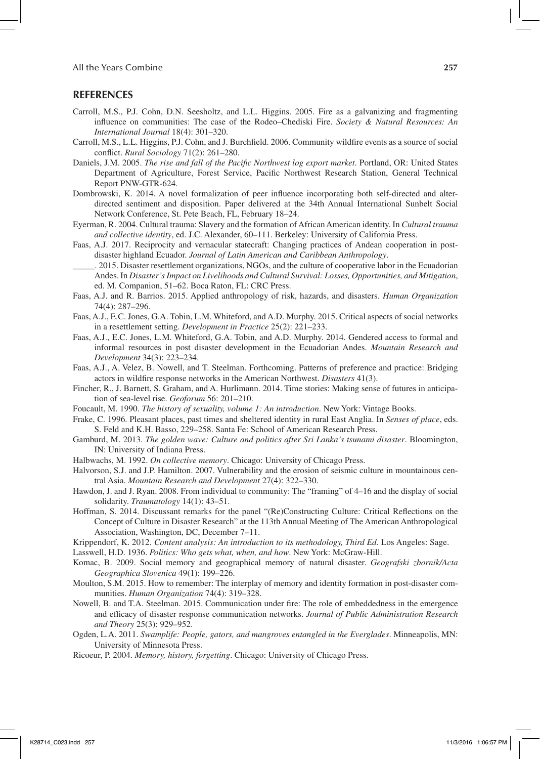# **REFERENCES**

- Carroll, M.S., P.J. Cohn, D.N. Seesholtz, and L.L. Higgins. 2005. Fire as a galvanizing and fragmenting influence on communities: The case of the Rodeo–Chediski Fire. *Society & Natural Resources: An International Journal* 18(4): 301–320.
- Carroll, M.S., L.L. Higgins, P.J. Cohn, and J. Burchfield. 2006. Community wildfire events as a source of social conflict. *Rural Sociology* 71(2): 261–280.
- Daniels, J.M. 2005. *The rise and fall of the Pacific Northwest log export market*. Portland, OR: United States Department of Agriculture, Forest Service, Pacific Northwest Research Station, General Technical Report PNW-GTR-624.
- Dombrowski, K. 2014. A novel formalization of peer influence incorporating both self-directed and alterdirected sentiment and disposition. Paper delivered at the 34th Annual International Sunbelt Social Network Conference, St. Pete Beach, FL, February 18–24.
- Eyerman, R. 2004. Cultural trauma: Slavery and the formation of African American identity. In *Cultural trauma and collective identity*, ed. J.C. Alexander, 60–111. Berkeley: University of California Press.
- Faas, A.J. 2017. Reciprocity and vernacular statecraft: Changing practices of Andean cooperation in postdisaster highland Ecuador. *Journal of Latin American and Caribbean Anthropology*.
- \_\_\_\_\_. 2015. Disaster resettlement organizations, NGOs, and the culture of cooperative labor in the Ecuadorian Andes. In *Disaster's Impact on Livelihoods and Cultural Survival: Losses, Opportunities, and Mitigation*, ed. M. Companion, 51–62. Boca Raton, FL: CRC Press.
- Faas, A.J. and R. Barrios. 2015. Applied anthropology of risk, hazards, and disasters. *Human Organization* 74(4): 287–296.
- Faas, A.J., E.C. Jones, G.A. Tobin, L.M. Whiteford, and A.D. Murphy. 2015. Critical aspects of social networks in a resettlement setting. *Development in Practice* 25(2): 221–233.
- Faas, A.J., E.C. Jones, L.M. Whiteford, G.A. Tobin, and A.D. Murphy. 2014. Gendered access to formal and informal resources in post disaster development in the Ecuadorian Andes. *Mountain Research and Development* 34(3): 223–234.
- Faas, A.J., A. Velez, B. Nowell, and T. Steelman. Forthcoming. Patterns of preference and practice: Bridging actors in wildfire response networks in the American Northwest. *Disasters* 41(3).
- Fincher, R., J. Barnett, S. Graham, and A. Hurlimann. 2014. Time stories: Making sense of futures in anticipation of sea-level rise. *Geoforum* 56: 201–210.
- Foucault, M. 1990. *The history of sexuality, volume 1: An introduction*. New York: Vintage Books.
- Frake, C. 1996. Pleasant places, past times and sheltered identity in rural East Anglia. In *Senses of place*, eds. S. Feld and K.H. Basso, 229–258. Santa Fe: School of American Research Press.
- Gamburd, M. 2013. *The golden wave: Culture and politics after Sri Lanka's tsunami disaster*. Bloomington, IN: University of Indiana Press.
- Halbwachs, M. 1992. *On collective memory*. Chicago: University of Chicago Press.
- Halvorson, S.J. and J.P. Hamilton. 2007. Vulnerability and the erosion of seismic culture in mountainous central Asia. *Mountain Research and Development* 27(4): 322–330.
- Hawdon, J. and J. Ryan. 2008. From individual to community: The "framing" of 4–16 and the display of social solidarity. *Traumatology* 14(1): 43–51.
- Hoffman, S. 2014. Discussant remarks for the panel "(Re)Constructing Culture: Critical Reflections on the Concept of Culture in Disaster Research" at the 113th Annual Meeting of The American Anthropological Association, Washington, DC, December 7–11.
- Krippendorf, K. 2012. *Content analysis: An introduction to its methodology, Third Ed.* Los Angeles: Sage.
- Lasswell, H.D. 1936. *Politics: Who gets what, when, and how*. New York: McGraw-Hill.
- Komac, B. 2009. Social memory and geographical memory of natural disaster. *Geografski zbornik/Acta Geographica Slovenica* 49(1): 199–226.
- Moulton, S.M. 2015. How to remember: The interplay of memory and identity formation in post-disaster communities. *Human Organization* 74(4): 319–328.
- Nowell, B. and T.A. Steelman. 2015. Communication under fire: The role of embeddedness in the emergence and efficacy of disaster response communication networks. *Journal of Public Administration Research and Theory* 25(3): 929–952.
- Ogden, L.A. 2011. *Swamplife: People, gators, and mangroves entangled in the Everglades*. Minneapolis, MN: University of Minnesota Press.
- Ricoeur, P. 2004. *Memory, history, forgetting*. Chicago: University of Chicago Press.